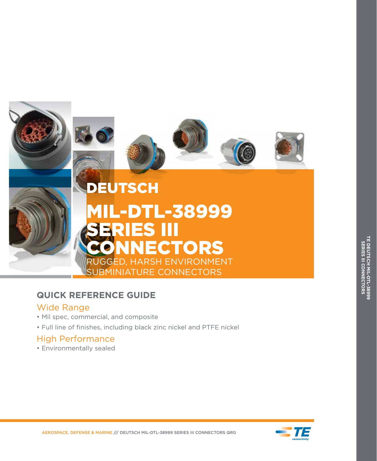

# **QUICK REFERENCE GUIDE**

## Wide Range

- Mil spec, commercial, and composite
- Full line of finishes, including black zinc nickel and PTFE nickel

# High Performance

• Environmentally sealed

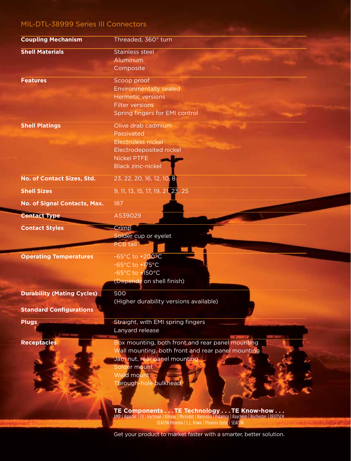## MIL-DTL-38999 Series III Connectors

| <b>Coupling Mechanism</b>         | Threaded, 360° turn                                                                                                                                |
|-----------------------------------|----------------------------------------------------------------------------------------------------------------------------------------------------|
| <b>Shell Materials</b>            | <b>Stainless steel</b>                                                                                                                             |
|                                   | Aluminum                                                                                                                                           |
|                                   | Composite                                                                                                                                          |
| <b>Features</b>                   | Scoop proof                                                                                                                                        |
|                                   | <b>Environmentally sealed</b>                                                                                                                      |
|                                   | <b>Hermetic versions</b>                                                                                                                           |
|                                   | <b>Filter versions</b>                                                                                                                             |
|                                   | Spring fingers for EMI control                                                                                                                     |
| <b>Shell Platings</b>             | Olive drab cadmium                                                                                                                                 |
|                                   | Passivated                                                                                                                                         |
|                                   | Electroless nickel                                                                                                                                 |
|                                   | Electrodeposited nickel                                                                                                                            |
|                                   | <b>Nickel PTFE</b>                                                                                                                                 |
|                                   | <b>Black zinc-nickel</b>                                                                                                                           |
| No. of Contact Sizes, Std.        | 23, 22, 20, 16, 12, 10, 8                                                                                                                          |
| <b>Shell Sizes</b>                | 9, 11, 13, 15, 17, 19, 21, 23, 25                                                                                                                  |
| No. of Signal Contacts, Max.      | 187                                                                                                                                                |
| <b>Contact Type</b>               | AS39029                                                                                                                                            |
| <b>Contact Styles</b>             | Crimp                                                                                                                                              |
|                                   | Solder cup or eyelet                                                                                                                               |
|                                   | <b>PCB</b> tail                                                                                                                                    |
| <b>Operating Temperatures</b>     | $-65^{\circ}$ C to $+200^{\circ}$ C                                                                                                                |
|                                   | -65 $^{\circ}$ C to +175 $^{\circ}$ C                                                                                                              |
|                                   | -65 $\degree$ C to +150 $\degree$ C                                                                                                                |
|                                   | (Depends on shell finish)                                                                                                                          |
|                                   |                                                                                                                                                    |
| <b>Durability (Mating Cycles)</b> | 500                                                                                                                                                |
|                                   | (Higher durability versions available)                                                                                                             |
| <b>Standard Configurations</b>    |                                                                                                                                                    |
| <b>Plugs</b>                      | Straight, with EMI spring fingers                                                                                                                  |
|                                   | Lanyard release                                                                                                                                    |
| <b>Receptacles</b>                | Box mounting, both front and rear panel mounting                                                                                                   |
|                                   | Wall mounting, both front and rear panel mounting                                                                                                  |
|                                   | Jam nut, rear panel mounting                                                                                                                       |
|                                   | Solder mount                                                                                                                                       |
|                                   | Weld mount                                                                                                                                         |
|                                   | Through-hole bulkhead                                                                                                                              |
|                                   |                                                                                                                                                    |
|                                   |                                                                                                                                                    |
|                                   |                                                                                                                                                    |
|                                   | TE Components TE Technology TE Know-how<br>AMP   Agastat   CII   Hartman   Kilovac   Microdot   Nanonics   Polamco   Raychem   Rochester   DEUTSCH |
|                                   | SEACON Phoenix   L.L. Rowe   Phoenix Optix   SEACON                                                                                                |

Get your product to market faster with a smarter, better solution.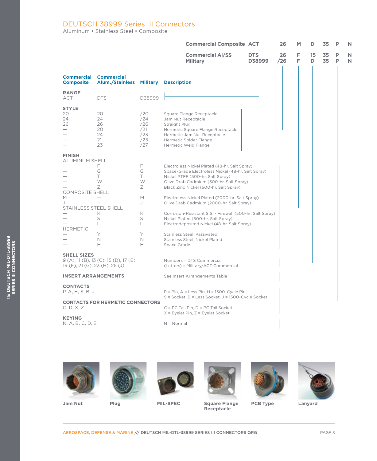#### DEUTSCH 38999 Series III Connectors

Aluminum • Stainless Steel • Composite

|                                                                                                                        |                                                      |                                                               | <b>Commercial Composite ACT</b>                                                                                                                                                                                                                                                                                                                                                                                                                                                                                                                              |                      | 26        | M      | D       | 35       | P | N |
|------------------------------------------------------------------------------------------------------------------------|------------------------------------------------------|---------------------------------------------------------------|--------------------------------------------------------------------------------------------------------------------------------------------------------------------------------------------------------------------------------------------------------------------------------------------------------------------------------------------------------------------------------------------------------------------------------------------------------------------------------------------------------------------------------------------------------------|----------------------|-----------|--------|---------|----------|---|---|
|                                                                                                                        |                                                      |                                                               | <b>Commercial Al/SS</b><br><b>Military</b>                                                                                                                                                                                                                                                                                                                                                                                                                                                                                                                   | <b>DTS</b><br>D38999 | 26<br>/26 | Е<br>Е | 15<br>D | 35<br>35 | P | N |
| <b>Commercial</b><br><b>Composite</b>                                                                                  | <b>Commercial</b><br><b>Alum./Stainless Military</b> |                                                               | <b>Description</b>                                                                                                                                                                                                                                                                                                                                                                                                                                                                                                                                           |                      |           |        |         |          |   |   |
| <b>RANGE</b><br>ACT                                                                                                    | <b>DTS</b>                                           | D38999                                                        |                                                                                                                                                                                                                                                                                                                                                                                                                                                                                                                                                              |                      |           |        |         |          |   |   |
| <b>STYLE</b><br>20<br>24<br>26                                                                                         | 20<br>24<br>26<br>20<br>24<br>21<br>23               | /20<br>/24<br>/26<br>/21<br>/23<br>/25<br>/27                 | Square Flange Receptacle<br>Jam Nut Receptacle<br>Straight Plug<br>Hermetic Square Flange Receptacle<br>Hermetic Jam Nut Receptacle<br>Hermetic Solder Flange<br>Hermetic Weld Flange                                                                                                                                                                                                                                                                                                                                                                        |                      |           |        |         |          |   |   |
| <b>FINISH</b><br><b>ALUMINUM SHELL</b><br><b>COMPOSITE SHELL</b><br>M<br>J<br>STAINLESS STEEL SHELL<br><b>HERMETIC</b> | F<br>G<br>Τ<br>W<br>Ζ<br>Κ<br>S<br>L<br>Y<br>N<br>н  | F<br>G<br>T<br>W<br>Ζ<br>M<br>J<br>K<br>S<br>L<br>Y<br>N<br>н | Electroless Nickel Plated (48-hr. Salt Spray)<br>Space-Grade Electroless Nickel (48-hr. Salt Spray)<br>Nickel PTFE (500-hr. Salt Spray)<br>Olive Drab Cadmium (500-hr. Salt Spray)<br>Black Zinc Nickel (500-hr. Salt Spray)<br>Electroless Nickel Plated (2000-hr. Salt Spray)<br>Olive Drab Cadmium (2000-hr. Salt Spray)<br>Corrosion-Resistant S.S. - Firewall (500-hr. Salt Spray)<br>Nickel Plated (500-hr. Salt Spray)<br>Electrodeposited Nickel (48-hr. Salt Spray)<br>Stainless Steel, Passivated<br>Stainless Steel, Nickel Plated<br>Space Grade |                      |           |        |         |          |   |   |
| <b>SHELL SIZES</b><br>19 (F), 21 (G), 23 (H), 25 (J)                                                                   | $9(A)$ , 11 (B), 13 (C), 15 (D), 17 (E),             |                                                               | Numbers = DTS Commercial;<br>(Letters) = Military/ACT Commercial                                                                                                                                                                                                                                                                                                                                                                                                                                                                                             |                      |           |        |         |          |   |   |
| <b>INSERT ARRANGEMENTS</b>                                                                                             |                                                      |                                                               | See Insert Arrangements Table                                                                                                                                                                                                                                                                                                                                                                                                                                                                                                                                |                      |           |        |         |          |   |   |
| <b>CONTACTS</b><br>P, A, H, S, B, J                                                                                    |                                                      |                                                               | $P = Pin$ , $A = Less Pin$ , $H = 1500$ -Cycle Pin,<br>S = Socket, B = Less Socket, J = 1500-Cycle Socket                                                                                                                                                                                                                                                                                                                                                                                                                                                    |                      |           |        |         |          |   |   |
| <b>CONTACTS FOR HERMETIC CONNECTORS</b><br>C, D, X, Z                                                                  |                                                      |                                                               | C = PC Tail Pin, D = PC Tail Socket<br>$X$ = Eyelet Pin, $Z$ = Eyelet Socket                                                                                                                                                                                                                                                                                                                                                                                                                                                                                 |                      |           |        |         |          |   |   |
| <b>KEYING</b><br>N, A, B, C, D, E                                                                                      |                                                      |                                                               | $N = Normal$                                                                                                                                                                                                                                                                                                                                                                                                                                                                                                                                                 |                      |           |        |         |          |   |   |









**Receptacle**



**Jam Nut Square Flange Plug MIL-SPEC PCB Type Lanyard**

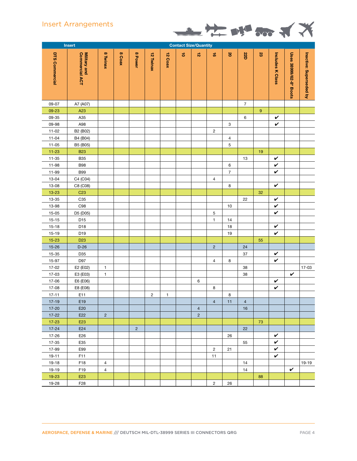### Insert Arrangements



|                       | Insert                         | <b>Contact Size/Quantity</b> |        |                |           |                |                 |                    |                 |                |                |                  |                  |                        |                         |
|-----------------------|--------------------------------|------------------------------|--------|----------------|-----------|----------------|-----------------|--------------------|-----------------|----------------|----------------|------------------|------------------|------------------------|-------------------------|
| <b>DTS Commercial</b> | Commercial ACT<br>Military and | 8 Twinax                     | 8 Coax | 8 Power        | 12 Twinax | <b>12 Coax</b> | $\vec{\bullet}$ | $\vec{\mathbf{v}}$ | $\vec{\bullet}$ | <b>S</b>       | <b>22D</b>     | S.               | Includes K Class | Uses 38999/62-8* Boots | Inactive: Superseded by |
| 09-07                 | A7 (A07)                       |                              |        |                |           |                |                 |                    |                 |                | $\overline{7}$ |                  |                  |                        |                         |
| 09-23                 | A23                            |                              |        |                |           |                |                 |                    |                 |                |                | $\boldsymbol{9}$ |                  |                        |                         |
| 09-35                 | A35                            |                              |        |                |           |                |                 |                    |                 |                | 6              |                  | V                |                        |                         |
| 09-98                 | A98                            |                              |        |                |           |                |                 |                    |                 | 3              |                |                  | V                |                        |                         |
| $11 - 02$             | B2 (B02)                       |                              |        |                |           |                |                 |                    | $\overline{c}$  |                |                |                  |                  |                        |                         |
| $11 - 04$             | B4 (B04)                       |                              |        |                |           |                |                 |                    |                 | $\overline{4}$ |                |                  |                  |                        |                         |
| $11 - 05$             | B5 (B05)                       |                              |        |                |           |                |                 |                    |                 | 5              |                |                  |                  |                        |                         |
| $11 - 23$             | <b>B23</b>                     |                              |        |                |           |                |                 |                    |                 |                |                | 19               |                  |                        |                         |
| $11 - 35$             | <b>B35</b>                     |                              |        |                |           |                |                 |                    |                 |                | 13             |                  | V                |                        |                         |
| 11-98                 | <b>B98</b>                     |                              |        |                |           |                |                 |                    |                 | 6              |                |                  | V                |                        |                         |
| 11-99                 | <b>B99</b>                     |                              |        |                |           |                |                 |                    |                 | $\overline{7}$ |                |                  | $\checkmark$     |                        |                         |
| $13 - 04$             | C4 (C04)                       |                              |        |                |           |                |                 |                    | 4               |                |                |                  |                  |                        |                         |
| 13-08                 | C8 (C08)                       |                              |        |                |           |                |                 |                    |                 | 8              |                |                  | $\checkmark$     |                        |                         |
| $13 - 23$             | C <sub>23</sub>                |                              |        |                |           |                |                 |                    |                 |                |                | 32               |                  |                        |                         |
| 13-35                 | C35                            |                              |        |                |           |                |                 |                    |                 |                | 22             |                  | V                |                        |                         |
| 13-98                 | C98                            |                              |        |                |           |                |                 |                    |                 | $10$           |                |                  | $\checkmark$     |                        |                         |
| $15 - 05$             | D5 (D05)                       |                              |        |                |           |                |                 |                    | 5               |                |                |                  | $\checkmark$     |                        |                         |
| $15 - 15$             | D15                            |                              |        |                |           |                |                 |                    | $\mathbf{1}$    | 14             |                |                  |                  |                        |                         |
| $15 - 18$             | D18                            |                              |        |                |           |                |                 |                    |                 | 18             |                |                  | V                |                        |                         |
| $15 - 19$             | D19                            |                              |        |                |           |                |                 |                    |                 | 19             |                |                  | $\checkmark$     |                        |                         |
| $15 - 23$             | D <sub>23</sub>                |                              |        |                |           |                |                 |                    |                 |                |                | 55               |                  |                        |                         |
| $15 - 26$             | $D-26$                         |                              |        |                |           |                |                 |                    | $\overline{c}$  |                | 24             |                  |                  |                        |                         |
| 15-35                 | D <sub>35</sub>                |                              |        |                |           |                |                 |                    |                 |                | 37             |                  | V                |                        |                         |
| 15-97                 | D97                            |                              |        |                |           |                |                 |                    | $\overline{4}$  | 8              |                |                  | V                |                        |                         |
| $17 - 02$             | E2 (E02)                       | $\mathbf{1}$                 |        |                |           |                |                 |                    |                 |                | 38             |                  |                  |                        | 17-03                   |
| 17-03                 | E3 (E03)                       | $\mathbf{1}$                 |        |                |           |                |                 |                    |                 |                | 38             |                  |                  | $\checkmark$           |                         |
| 17-06                 | E6 (E06)                       |                              |        |                |           |                |                 | 6                  |                 |                |                |                  | V                |                        |                         |
| $17 - 08$             | E8 (E08)                       |                              |        |                |           |                |                 |                    | 8               |                |                |                  | V                |                        |                         |
| $17 - 11$             | E11                            |                              |        |                | 2         | $\mathbf{1}$   |                 |                    |                 | 8              |                |                  |                  |                        |                         |
| $17-19$               | E19                            |                              |        |                |           |                |                 |                    | $\overline{4}$  | 11             | $\overline{4}$ |                  |                  |                        |                         |
| $17 - 20$             | E20                            |                              |        |                |           |                |                 | $\overline{4}$     |                 |                | 16             |                  |                  |                        |                         |
| $17 - 22$             | E22                            | $\overline{2}$               |        |                |           |                |                 | $\overline{2}$     |                 |                |                |                  |                  |                        |                         |
| $17 - 23$             | E23                            |                              |        |                |           |                |                 |                    |                 |                |                | 73               |                  |                        |                         |
| $17 - 24$             | E24                            |                              |        | $\overline{2}$ |           |                |                 |                    |                 |                | 22             |                  |                  |                        |                         |
| 17-26                 | E26                            |                              |        |                |           |                |                 |                    |                 | 26             |                |                  | V                |                        |                         |
| 17-35                 | E35                            |                              |        |                |           |                |                 |                    |                 |                | 55             |                  | V                |                        |                         |
| 17-99                 | E99                            |                              |        |                |           |                |                 |                    | $\overline{c}$  | 21             |                |                  | V                |                        |                         |
| $19 - 11$             | F11                            |                              |        |                |           |                |                 |                    | 11              |                |                |                  | V                |                        |                         |
| 19-18                 | F18                            | 4                            |        |                |           |                |                 |                    |                 |                | 14             |                  |                  |                        | 19-19                   |
| 19-19                 | F19                            | $\overline{4}$               |        |                |           |                |                 |                    |                 |                | 14             |                  |                  | V                      |                         |
| 19-23                 | E23                            |                              |        |                |           |                |                 |                    |                 |                |                | 88               |                  |                        |                         |
| 19-28                 | F28                            |                              |        |                |           |                |                 |                    | $\overline{2}$  | 26             |                |                  |                  |                        |                         |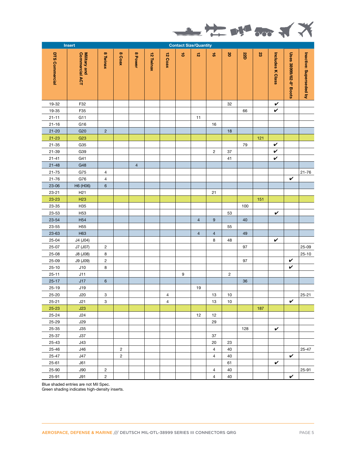

|                       | Insert<br><b>Contact Size/Quantity</b>                                                 |                           |                |                |           |                |                  |                |                               |                |            |     |                  |                        |                         |
|-----------------------|----------------------------------------------------------------------------------------|---------------------------|----------------|----------------|-----------|----------------|------------------|----------------|-------------------------------|----------------|------------|-----|------------------|------------------------|-------------------------|
| <b>DTS Commercial</b> | Commercial ACT<br><b>Military and</b>                                                  | 8 Twinax                  | 8 Coax         | 8 Power        | 12 Twinax | 12 Coax        | $\vec{\bullet}$  | $\vec{b}$      | $\overrightarrow{\mathbf{e}}$ | $\mathbf 8$    | <b>22D</b> | S.  | Includes K Class | Uses 38999/62-8* Boots | Inactive: Superseded by |
| 19-32                 | F32                                                                                    |                           |                |                |           |                |                  |                |                               | 32             |            |     | $\checkmark$     |                        |                         |
| 19-35                 | F35                                                                                    |                           |                |                |           |                |                  |                |                               |                | 66         |     | V                |                        |                         |
| $21 - 11$             | G11                                                                                    |                           |                |                |           |                |                  | 11             |                               |                |            |     |                  |                        |                         |
| $21 - 16$             | G16                                                                                    |                           |                |                |           |                |                  |                | 16                            |                |            |     |                  |                        |                         |
| $21 - 20$             | G20                                                                                    | $\overline{2}$            |                |                |           |                |                  |                |                               | 18             |            |     |                  |                        |                         |
| $21 - 23$             | G <sub>23</sub>                                                                        |                           |                |                |           |                |                  |                |                               |                |            | 121 |                  |                        |                         |
| $21 - 35$             | G35                                                                                    |                           |                |                |           |                |                  |                |                               |                | 79         |     | V                |                        |                         |
| $21 - 39$             | G39                                                                                    |                           |                |                |           |                |                  |                | $\overline{c}$                | 37             |            |     | $\checkmark$     |                        |                         |
| $21 - 41$             | G41                                                                                    |                           |                |                |           |                |                  |                |                               | 41             |            |     | V                |                        |                         |
| $21 - 48$             | G48                                                                                    |                           |                | $\overline{4}$ |           |                |                  |                |                               |                |            |     |                  |                        |                         |
| $21 - 75$             | G75                                                                                    | $\overline{4}$            |                |                |           |                |                  |                |                               |                |            |     |                  |                        | $21 - 76$               |
| $21 - 76$             | G76                                                                                    | $\overline{4}$            |                |                |           |                |                  |                |                               |                |            |     |                  | V                      |                         |
| $23 - 06$             | H6 (H06)                                                                               | $\,6\,$                   |                |                |           |                |                  |                |                               |                |            |     |                  |                        |                         |
| $23 - 21$             | H <sub>21</sub>                                                                        |                           |                |                |           |                |                  |                | 21                            |                |            |     |                  |                        |                         |
| 23-23                 | H <sub>23</sub>                                                                        |                           |                |                |           |                |                  |                |                               |                |            | 151 |                  |                        |                         |
| $23 - 35$             | H35                                                                                    |                           |                |                |           |                |                  |                |                               |                | 100        |     |                  |                        |                         |
| 23-53                 | H <sub>53</sub>                                                                        |                           |                |                |           |                |                  |                |                               | 53             |            |     | $\checkmark$     |                        |                         |
| 23-54                 | H <sub>54</sub>                                                                        |                           |                |                |           |                |                  | $\overline{4}$ | $9\,$                         |                | 40         |     |                  |                        |                         |
| $23 - 55$             | H <sub>55</sub>                                                                        |                           |                |                |           |                |                  |                |                               | 55             |            |     |                  |                        |                         |
| 23-63                 | H63                                                                                    |                           |                |                |           |                |                  | $\overline{4}$ | $\overline{4}$                |                | 49         |     |                  |                        |                         |
| 25-04                 | J4 (J04)                                                                               |                           |                |                |           |                |                  |                | 8                             | 48             |            |     | $\checkmark$     |                        |                         |
| $25-07$               | J7 (J07)                                                                               | $\overline{c}$            |                |                |           |                |                  |                |                               |                | 97         |     |                  |                        | $25-09$                 |
| $25 - 08$             | J8 (J08)                                                                               | 8                         |                |                |           |                |                  |                |                               |                |            |     |                  |                        | $25 - 10$               |
| $25 - 09$             | J9 (J09)                                                                               | $\sqrt{2}$                |                |                |           |                |                  |                |                               |                | 97         |     |                  | V                      |                         |
| $25 - 10$             | J10                                                                                    | 8                         |                |                |           |                |                  |                |                               |                |            |     |                  | $\checkmark$           |                         |
| $25 - 11$             | J11                                                                                    |                           |                |                |           |                | $\boldsymbol{9}$ |                |                               | $\overline{c}$ |            |     |                  |                        |                         |
| $25 - 17$             | J17                                                                                    | $\,$ 6 $\,$               |                |                |           |                |                  |                |                               |                | 36         |     |                  |                        |                         |
| $25 - 19$             | J19                                                                                    |                           |                |                |           |                |                  | 19             |                               |                |            |     |                  |                        |                         |
| $25 - 20$             | J20                                                                                    | $\ensuremath{\mathsf{3}}$ |                |                |           | $\overline{4}$ |                  |                | 13                            | $10$           |            |     |                  |                        | $25 - 21$               |
| $25 - 21$             | J21                                                                                    | 3                         |                |                |           | $\overline{4}$ |                  |                | 13                            | 10             |            |     |                  | V                      |                         |
| $25 - 23$             | J23                                                                                    |                           |                |                |           |                |                  |                |                               |                |            | 187 |                  |                        |                         |
| $25 - 24$             | J24                                                                                    |                           |                |                |           |                |                  | 12             | 12                            |                |            |     |                  |                        |                         |
| 25-29                 | <b>J29</b>                                                                             |                           |                |                |           |                |                  |                | 29                            |                |            |     |                  |                        |                         |
| 25-35                 | J35                                                                                    |                           |                |                |           |                |                  |                |                               |                | 128        |     | V                |                        |                         |
| 25-37                 | J37                                                                                    |                           |                |                |           |                |                  |                | 37                            |                |            |     |                  |                        |                         |
| $25 - 43$             | J43                                                                                    |                           |                |                |           |                |                  |                | 20                            | 23             |            |     |                  |                        |                         |
| 25-46                 | J46                                                                                    |                           | $\overline{c}$ |                |           |                |                  |                | $\overline{4}$                | 40             |            |     |                  |                        | $25 - 47$               |
| 25-47                 | J47                                                                                    |                           | $\overline{c}$ |                |           |                |                  |                | $\overline{4}$                | 40             |            |     |                  | V                      |                         |
| 25-61                 | J61                                                                                    |                           |                |                |           |                |                  |                |                               | 61             |            |     | V                |                        |                         |
| 25-90                 | J90                                                                                    | $\overline{2}$            |                |                |           |                |                  |                | 4                             | 40             |            |     |                  |                        | 25-91                   |
| 25-91                 | <b>J91</b>                                                                             | $\mathbf{2}$              |                |                |           |                |                  |                | $\overline{4}$                | 40             |            |     |                  | V                      |                         |
|                       | Blue shaded entries are not Mil Spec.<br>Green shading indicates high-density inserts. |                           |                |                |           |                |                  |                |                               |                |            |     |                  |                        |                         |
|                       | AEROSPACE, DEFENSE & MARINE /// DEUTSCH MIL-DTL-38999 SERIES III CONNECTORS QRG        |                           |                |                |           |                |                  |                |                               |                |            |     |                  |                        | PAGE 5                  |